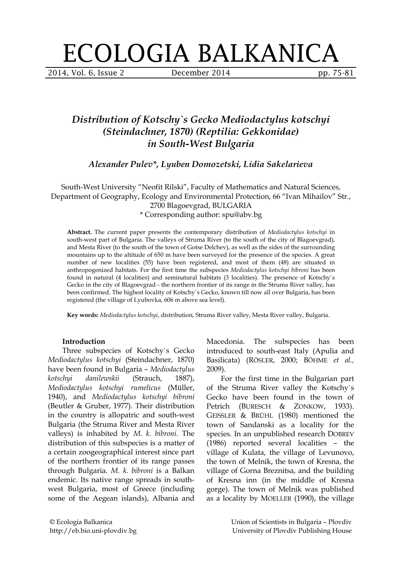# ECOLOGIA BALKANICA

2014, Vol. 6, Issue 2 December 2014 pp. 75-81

# *Distribution of Kotschy`s Gecko Mediodactylus kotschyi (Steindachner, 1870) (Reptilia: Gekkonidae) in South-West Bulgaria*

*Alexander Pulev\*, Lyuben Domozetski, Lidia Sakelarieva*

South-West University "Neofit Rilski", Faculty of Mathematics and Natural Sciences, Department of Geography, Ecology and Environmental Protection, 66 "Ivan Mihailov" Str., 2700 Blagoevgrad, BULGARIA

\* Corresponding author: spu@abv.bg

**Abstract.** The current paper presents the contemporary distribution of *Mediodactylus kotschyi* in south-west part of Bulgaria. The valleys of Struma River (to the south of the city of Blagoevgrad), and Mesta River (to the south of the town of Gotse Delchev), as well as the sides of the surrounding mountains up to the altitude of 650 m have been surveyed for the presence of the species. A great number of new localities (55) have been registered, and most of them (48) are situated in anthropogenized habitats. For the first time the subspecies *Mediodactylus kotschyi bibroni* has been found in natural (4 localities) and seminatural habitats (3 localities). The presence of Kotschy`s Gecko in the city of Blagoevgrad - the northern frontier of its range in the Struma River valley, has been confirmed. The highest locality of Kotschy`s Gecko, known till now all over Bulgaria, has been registered (the village of Lyubovka, 606 m above sea level).

**Key words:** *Mediodactylus kotschyi*, distribution, Struma River valley, Mesta River valley, Bulgaria.

## **Introduction**

Three subspecies of Kotschy`s Gecko *Mediodactylus kotschyi* (Steindachner, 1870) have been found in Bulgaria – *Mediodactylus kotschyi danilewskii* (Strauch, 1887), *Mediodactylus kotschyi rumelicus* (Müller, 1940), and *Mediodactylus kotschyi bibroni* (Beutler & Gruber, 1977). Their distribution in the country is allopatric and south-west Bulgaria (the Struma River and Mesta River valleys) is inhabited by *M. k. bibroni*. The distribution of this subspecies is a matter of a certain zoogeographical interest since part of the northern frontier of its range passes through Bulgaria. *M. k. bibroni* is a Balkan endemic. Its native range spreads in southwest Bulgaria, most of Greece (including some of the Aegean islands), Albania and Macedonia. The subspecies has been introduced to south-east Italy (Apulia and Basilicata) (RÖSLER, 2000; BÖHME *et al.,* 2009).

For the first time in the Bulgarian part of the Struma River valley the Kotschy`s Gecko have been found in the town of Petrich (BURESCH & ZONKOW, 1933). GEISSLER & BRÜHL (1980) mentioned the town of Sandanski as a locality for the species. In an unpublished research DOBREV (1986) reported several localities – the village of Kulata, the village of Levunovo, the town of Melnik, the town of Kresna, the village of Gorna Breznitsa, and the building of Kresna inn (in the middle of Kresna gorge). The town of Melnik was published as a locality by MOELLER (1990), the village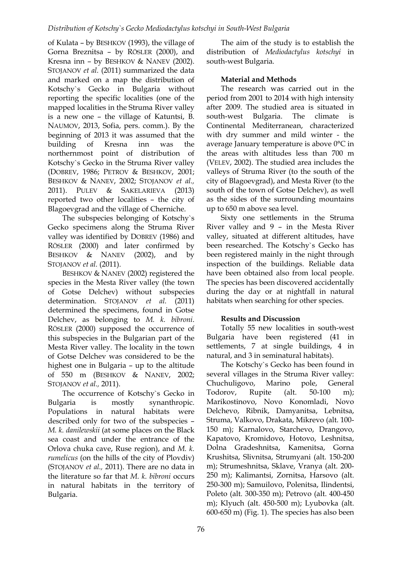of Kulata – by BESHKOV (1993), the village of Gorna Breznitsa – by RÖSLER (2000), and Kresna inn – by BESHKOV & NANEV (2002). STOJANOV *et al.* (2011) summarized the data and marked on a map the distribution of Kotschy`s Gecko in Bulgaria without reporting the specific localities (one of the mapped localities in the Struma River valley is a new one – the village of Katuntsi, B. NAUMOV, 2013, Sofia, pers. comm.). By the beginning of 2013 it was assumed that the building of Kresna inn was the northernmost point of distribution of Kotschy`s Gecko in the Struma River valley (DOBREV, 1986; PETROV & BESHKOV, 2001; BESHKOV & NANEV, 2002; STOJANOV *et al.,*  2011). PULEV & SAKELARIEVA (2013) reported two other localities – the city of Blagoevgrad and the village of Cherniche.

The subspecies belonging of Kotschy`s Gecko specimens along the Struma River valley was identified by DOBREV (1986) and RÖSLER (2000) and later confirmed by BESHKOV & NANEV (2002), and by STOJANOV *et al.* (2011).

BESHKOV & NANEV (2002) registered the species in the Mesta River valley (the town of Gotse Delchev) without subspecies determination. STOJANOV *et al.* (2011) determined the specimens, found in Gotse Delchev, as belonging to *M. k. bibroni*. RÖSLER (2000) supposed the occurrence of this subspecies in the Bulgarian part of the Mesta River valley. The locality in the town of Gotse Delchev was considered to be the highest one in Bulgaria – up to the altitude of 550 m (BESHKOV & NANEV, 2002; STOJANOV *et al.,* 2011).

The occurrence of Kotschy`s Gecko in Bulgaria is mostly synanthropic. Populations in natural habitats were described only for two of the subspecies – *M. k. danilewskii* (at some places on the Black sea coast and under the entrance of the Orlova chuka cave, Ruse region), and *M. k. rumelicus* (on the hills of the city of Plovdiv) (STOJANOV *et al.,* 2011). There are no data in the literature so far that *M. k. bibroni* occurs in natural habitats in the territory of Bulgaria.

The aim of the study is to establish the distribution of *Mediodactylus kotschyi* in south-west Bulgaria.

# **Material and Methods**

The research was carried out in the period from 2001 to 2014 with high intensity after 2009. The studied area is situated in south-west Bulgaria. The climate is Continental Mediterranean, characterized with dry summer and mild winter - the average January temperature is above 0°C in the areas with altitudes less than 700 m (VELEV, 2002). The studied area includes the valleys of Struma River (to the south of the city of Blagoevgrad), and Mesta River (to the south of the town of Gotse Delchev), as well as the sides of the surrounding mountains up to 650 m above sea level.

Sixty one settlements in the Struma River valley and 9 – in the Mesta River valley, situated at different altitudes, have been researched. The Kotschy`s Gecko has been registered mainly in the night through inspection of the buildings. Reliable data have been obtained also from local people. The species has been discovered accidentally during the day or at nightfall in natural habitats when searching for other species.

# **Results and Discussion**

Totally 55 new localities in south-west Bulgaria have been registered (41 in settlements, 7 at single buildings, 4 in natural, and 3 in seminatural habitats).

The Kotschy`s Gecko has been found in several villages in the Struma River valley: Chuchuligovo, Marino pole, General Todorov, Rupite (alt. 50-100 m); Marikostinovo, Novo Konomladi, Novo Delchevo, Ribnik, Damyanitsa, Lebnitsa, Struma, Valkovo, Drakata, Mikrevo (alt. 100- 150 m); Karnalovo, Starchevo, Drangovo, Kapatovo, Kromidovo, Hotovo, Leshnitsa, Dolna Gradeshnitsa, Kamenitsa, Gorna Krushitsa, Slivnitsa, Strumyani (alt. 150-200 m); Strumeshnitsa, Sklave, Vranya (alt. 200- 250 m); Kalimantsi, Zornitsa, Harsovo (alt. 250-300 m); Samuilovo, Polenitsa, Ilindentsi, Poleto (alt. 300-350 m); Petrovo (alt. 400-450 m); Klyuch (alt. 450-500 m); Lyubovka (alt. 600-650 m) (Fig. 1). The species has also been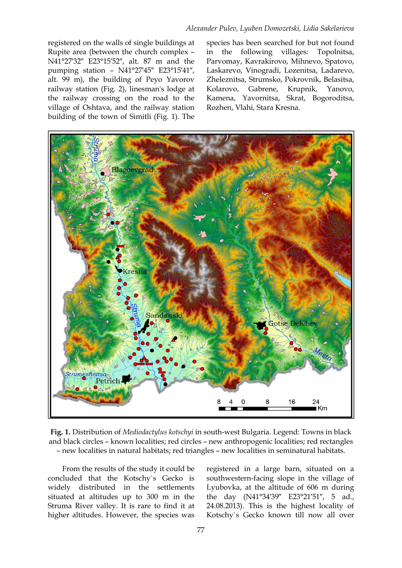registered on the walls of single buildings at Rupite area (between the church complex – N41°27′32″ E23°15′52″, alt. 87 m and the pumping station – N41°27′45″ E23°15′41″, alt. 99 m), the building of Peyo Yavorov railway station (Fig. 2), linesman's lodge at the railway crossing on the road to the village of Oshtava, and the railway station building of the town of Simitli (Fig. 1). The species has been searched for but not found in the following villages: Topolnitsa, Parvomay, Kavrakirovo, Mihnevo, Spatovo, Laskarevo, Vinogradi, Lozenitsa, Ladarevo, Zheleznitsa, Strumsko, Pokrovnik, Belasitsa, Kolarovo, Gabrene, Krupnik, Yanovo, Kamena, Yavornitsa, Skrat, Bogoroditsa, Rozhen, Vlahi, Stara Kresna.



**Fig. 1.** Distribution of *Mediodactylus kotschyi* in south-west Bulgaria. Legend: Towns in black and black circles – known localities; red circles – new anthropogenic localities; red rectangles – new localities in natural habitats; red triangles – new localities in seminatural habitats.

From the results of the study it could be concluded that the Kotschy`s Gecko is widely distributed in the settlements situated at altitudes up to 300 m in the Struma River valley. It is rare to find it at higher altitudes. However, the species was registered in a large barn, situated on a southwestern-facing slope in the village of Lyubovka, at the altitude of 606 m during the day (N41°34′39″ E23°21′51″, 5 ad., 24.08.2013). This is the highest locality of Kotschy`s Gecko known till now all over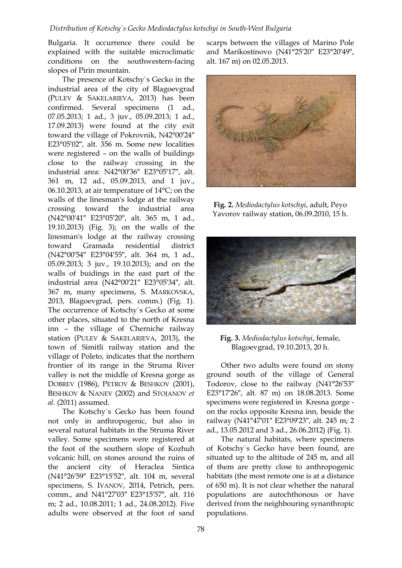#### *Distribution of Kotschy`s Gecko Mediodactylus kotschyi in South-West Bulgaria*

Bulgaria. It occurrence there could be explained with the suitable microclimatic conditions on the southwestern-facing slopes of Pirin mountain.

The presence of Kotschy`s Gecko in the industrial area of the city of Blagoevgrad (PULEV & SAKELARIEVA, 2013) has been confirmed. Several specimens (1 ad., 07.05.2013; 1 ad., 3 juv., 05.09.2013; 1 ad., 17.09.2013) were found at the city exit toward the village of Pokrovnik, N42°00′24″ E23°05′02″, alt. 356 m. Some new localities were registered – on the walls of buildings close to the railway crossing in the industrial area: N42°00′36″ E23°05′17″, alt. 361 m, 12 ad., 05.09.2013, and 1 juv., 06.10.2013, at air temperature of 14°C; on the walls of the linesman's lodge at the railway crossing toward the industrial area (N42°00′41″ E23°05′20″, alt. 365 m, 1 ad., 19.10.2013) (Fig. 3); on the walls of the linesman's lodge at the railway crossing toward Gramada residential district (N42°00′54″ E23°04′55″, alt. 364 m, 1 ad., 05.09.2013; 3 juv., 19.10.2013); and on the walls of buidings in the east part of the industrial area (N42°00′21″ E23°05′34″, alt. 367 m, many specimens, S. MARKOVSKA, 2013, Blagoevgrad, pers. comm.) (Fig. 1). The occurrence of Kotschy`s Gecko at some other places, situated to the north of Kresna inn – the village of Cherniche railway station (PULEV & SAKELARIEVA, 2013), the town of Simitli railway station and the village of Poleto, indicates that the northern frontier of its range in the Struma River valley is not the middle of Kresna gorge as DOBREV (1986), PETROV & BESHKOV (2001), BESHKOV & NANEV (2002) and STOJANOV *et al.* (2011) assumed.

The Kotschy`s Gecko has been found not only in anthropogenic, but also in several natural habitats in the Struma River valley. Some specimens were registered at the foot of the southern slope of Kozhuh volcanic hill, on stones around the ruins of the ancient city of Heraclea Sintica (N41°26′59″ E23°15′52″, alt. 104 m, several specimens, S. IVANOV, 2014, Petrich, pers. comm., and N41°27′03″ E23°15′57″, alt. 116 m; 2 ad., 10.08.2011; 1 ad., 24.08.2012). Five adults were observed at the foot of sand

scarps between the villages of Marino Pole and Marikostinovo (N41°25′20″ E23°20′49″, alt. 167 m) on 02.05.2013.



**Fig. 2.** *Mediodactylus kotschyi*, adult, Peyo Yavorov railway station, 06.09.2010, 15 h.



**Fig. 3.** *Mediodactylus kotschyi*, female, Blagoevgrad, 19.10.2013, 20 h.

Other two adults were found on stony ground south of the village of General Todorov, close to the railway (N41°26′53″ E23°17′26″, alt. 87 m) on 18.08.2013. Some specimens were registered in Kresna gorge on the rocks opposite Kresna inn, beside the railway (N41°47′01″ E23°09′23″, alt. 245 m; 2 ad., 13.05.2012 and 3 ad., 26.06.2012) (Fig. 1).

The natural habitats, where specimens of Kotschy`s Gecko have been found, are situated up to the altitude of 245 m, and all of them are pretty close to anthropogenic habitats (the most remote one is at a distance of 650 m). It is not clear whether the natural populations are autochthonous or have derived from the neighbouring synanthropic populations.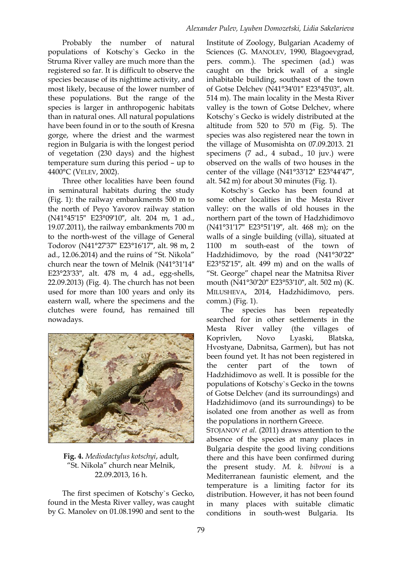Probably the number of natural populations of Kotschy`s Gecko in the Struma River valley are much more than the registered so far. It is difficult to observe the species because of its nighttime activity, and most likely, because of the lower number of these populations. But the range of the species is larger in anthropogenic habitats than in natural ones. All natural populations have been found in or to the south of Kresna gorge, where the driest and the warmest region in Bulgaria is with the longest period of vegetation (230 days) and the highest temperature sum during this period – up to 4400°C (VELEV, 2002).

Three other localities have been found in seminatural habitats during the study (Fig. 1): the railway embankments 500 m to the north of Peyo Yavorov railway station (N41°45′15″ E23°09′10″, alt. 204 m, 1 ad., 19.07.2011), the railway embankments 700 m to the north-west of the village of General Todorov (N41°27′37″ E23°16′17″, alt. 98 m, 2 ad., 12.06.2014) and the ruins of "St. Nikola" church near the town of Melnik (N41°31′14″ E23°23′33″, alt. 478 m, 4 ad., egg-shells, 22.09.2013) (Fig. 4). The church has not been used for more than 100 years and only its eastern wall, where the specimens and the clutches were found, has remained till nowadays.



**Fig. 4.** *Mediodactylus kotschyi*, adult, "St. Nikola" church near Melnik, 22.09.2013, 16 h.

The first specimen of Kotschy`s Gecko, found in the Mesta River valley, was caught by G. Manolev on 01.08.1990 and sent to the Institute of Zoology, Bulgarian Academy of Sciences (G. MANOLEV, 1990, Blagoevgrad, pers. comm.). The specimen (ad.) was caught on the brick wall of a single inhabitable building, southeast of the town of Gotse Delchev (N41°34′01″ E23°45′03″, alt. 514 m). The main locality in the Mesta River valley is the town of Gotse Delchev, where Kotschy`s Gecko is widely distributed at the altitude from 520 to 570 m (Fig. 5). The species was also registered near the town in the village of Musomishta on 07.09.2013. 21 specimens (7 ad., 4 subad., 10 juv.) were observed on the walls of two houses in the center of the village (N41°33′12″ E23°44′47″, alt. 542 m) for about 30 minutes (Fig. 1).

Kotschy`s Gecko has been found at some other localities in the Mesta River valley: on the walls of old houses in the northern part of the town of Hadzhidimovo (N41°31′17″ E23°51′19″, alt. 468 m); on the walls of a single building (villa), situated at 1100 m south-east of the town of Hadzhidimovo, by the road (N41°30′22″ E23°52′15″, alt. 499 m) and on the walls of "St. George" chapel near the Matnitsa River mouth (N41°30′20″ E23°53′10″, alt. 502 m) (K. MILUSHEVA, 2014, Hadzhidimovo, pers. comm.) (Fig. 1).

The species has been repeatedly searched for in other settlements in the Mesta River valley (the villages of Koprivlen, Novo Lyaski, Blatska, Hvostyane, Dabnitsa, Garmen), but has not been found yet. It has not been registered in the center part of the town of Hadzhidimovo as well. It is possible for the populations of Kotschy`s Gecko in the towns of Gotse Delchev (and its surroundings) and Hadzhidimovo (and its surroundings) to be isolated one from another as well as from the populations in northern Greece.

STOJANOV *et al.* (2011) draws attention to the absence of the species at many places in Bulgaria despite the good living conditions there and this have been confirmed during the present study. *M. k. bibroni* is a Mediterranean faunistic element, and the temperature is a limiting factor for its distribution. However, it has not been found in many places with suitable climatic conditions in south-west Bulgaria. Its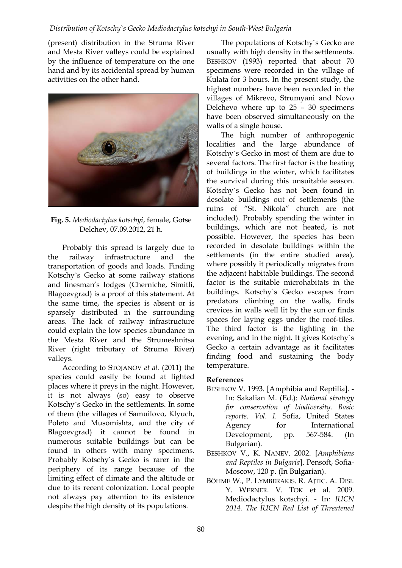## *Distribution of Kotschy`s Gecko Mediodactylus kotschyi in South-West Bulgaria*

(present) distribution in the Struma River and Mesta River valleys could be explained by the influence of temperature on the one hand and by its accidental spread by human activities on the other hand.



**Fig. 5.** *Mediodactylus kotschyi*, female, Gotse Delchev, 07.09.2012, 21 h.

Probably this spread is largely due to the railway infrastructure and the transportation of goods and loads. Finding Kotschy`s Gecko at some railway stations and linesman's lodges (Cherniche, Simitli, Blagoevgrad) is a proof of this statement. At the same time, the species is absent or is sparsely distributed in the surrounding areas. The lack of railway infrastructure could explain the low species abundance in the Mesta River and the Strumeshnitsa River (right tributary of Struma River) valleys.

According to STOJANOV *et al.* (2011) the species could easily be found at lighted places where it preys in the night. However, it is not always (so) easy to observe Kotschy`s Gecko in the settlements. In some of them (the villages of Samuilovo, Klyuch, Poleto and Musomishta, and the city of Blagoevgrad) it cannot be found in numerous suitable buildings but can be found in others with many specimens. Probably Kotschy`s Gecko is rarer in the periphery of its range because of the limiting effect of climate and the altitude or due to its recent colonization. Local people not always pay attention to its existence despite the high density of its populations.

The populations of Kotschy`s Gecko are usually with high density in the settlements. BESHKOV (1993) reported that about 70 specimens were recorded in the village of Kulata for 3 hours. In the present study, the highest numbers have been recorded in the villages of Mikrevo, Strumyani and Novo Delchevo where up to  $25 - 30$  specimens have been observed simultaneously on the walls of a single house.

The high number of anthropogenic localities and the large abundance of Kotschy`s Gecko in most of them are due to several factors. The first factor is the heating of buildings in the winter, which facilitates the survival during this unsuitable season. Kotschy`s Gecko has not been found in desolate buildings out of settlements (the ruins of "St. Nikola" church are not included). Probably spending the winter in buildings, which are not heated, is not possible. However, the species has been recorded in desolate buildings within the settlements (in the entire studied area), where possibly it periodically migrates from the adjacent habitable buildings. The second factor is the suitable microhabitats in the buildings. Kotschy`s Gecko escapes from predators climbing on the walls, finds crevices in walls well lit by the sun or finds spaces for laying eggs under the roof-tiles. The third factor is the lighting in the evening, and in the night. It gives Kotschy`s Gecko a certain advantage as it facilitates finding food and sustaining the body temperature.

#### **References**

- BESHKOV V. 1993. [Amphibia and Reptilia]. In: Sakalian M. (Ed.): *National strategy for conservation of biodiversity. Basic reports. Vol. I.* Sofia, United States Agency for International Development, pp. 567-584. (In Bulgarian).
- BESHKOV V., K. NANEV. 2002. [*Amphibians and Reptiles in Bulgaria*]. Pensoft, Sofia-Moscow, 120 p. (In Bulgarian).
- BÖHME W., P. LYMBERAKIS. R. AJTIC. A. DISI. Y. WERNER. V. TOK et al. 2009. Mediodactylus kotschyi. - In*: IUCN 2014. The IUCN Red List of Threatened*